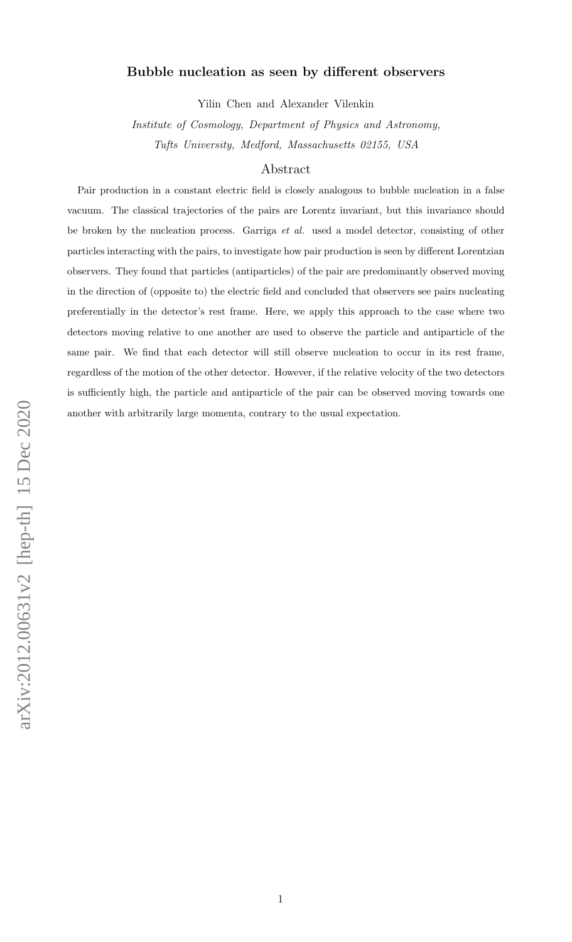## Bubble nucleation as seen by different observers

Yilin Chen and Alexander Vilenkin

Institute of Cosmology, Department of Physics and Astronomy, Tufts University, Medford, Massachusetts 02155, USA

## Abstract

Pair production in a constant electric field is closely analogous to bubble nucleation in a false vacuum. The classical trajectories of the pairs are Lorentz invariant, but this invariance should be broken by the nucleation process. Garriga et al. used a model detector, consisting of other particles interacting with the pairs, to investigate how pair production is seen by different Lorentzian observers. They found that particles (antiparticles) of the pair are predominantly observed moving in the direction of (opposite to) the electric field and concluded that observers see pairs nucleating preferentially in the detector's rest frame. Here, we apply this approach to the case where two detectors moving relative to one another are used to observe the particle and antiparticle of the same pair. We find that each detector will still observe nucleation to occur in its rest frame, regardless of the motion of the other detector. However, if the relative velocity of the two detectors is sufficiently high, the particle and antiparticle of the pair can be observed moving towards one another with arbitrarily large momenta, contrary to the usual expectation.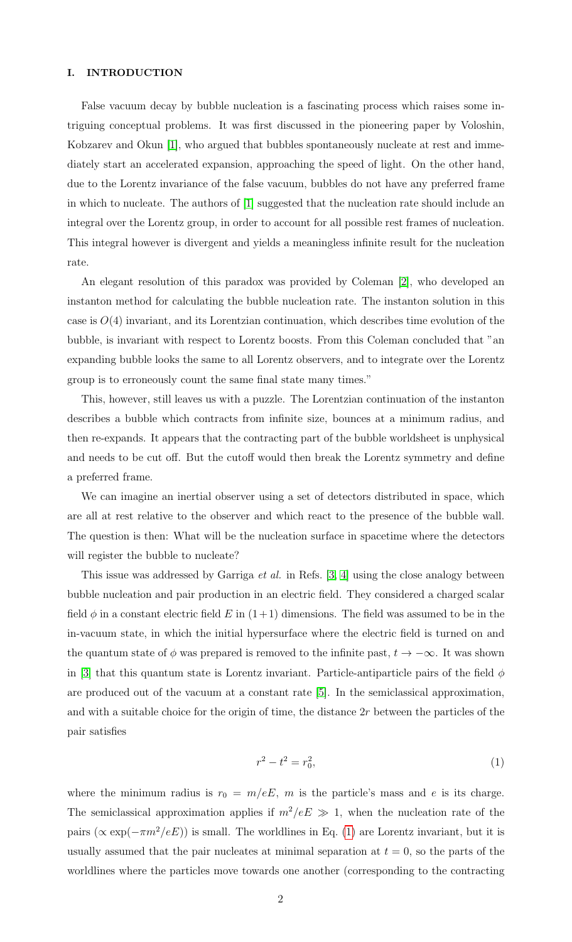## I. INTRODUCTION

False vacuum decay by bubble nucleation is a fascinating process which raises some intriguing conceptual problems. It was first discussed in the pioneering paper by Voloshin, Kobzarev and Okun [\[1\]](#page-17-0), who argued that bubbles spontaneously nucleate at rest and immediately start an accelerated expansion, approaching the speed of light. On the other hand, due to the Lorentz invariance of the false vacuum, bubbles do not have any preferred frame in which to nucleate. The authors of [\[1\]](#page-17-0) suggested that the nucleation rate should include an integral over the Lorentz group, in order to account for all possible rest frames of nucleation. This integral however is divergent and yields a meaningless infinite result for the nucleation rate.

An elegant resolution of this paradox was provided by Coleman [\[2\]](#page-18-0), who developed an instanton method for calculating the bubble nucleation rate. The instanton solution in this case is  $O(4)$  invariant, and its Lorentzian continuation, which describes time evolution of the bubble, is invariant with respect to Lorentz boosts. From this Coleman concluded that "an expanding bubble looks the same to all Lorentz observers, and to integrate over the Lorentz group is to erroneously count the same final state many times."

This, however, still leaves us with a puzzle. The Lorentzian continuation of the instanton describes a bubble which contracts from infinite size, bounces at a minimum radius, and then re-expands. It appears that the contracting part of the bubble worldsheet is unphysical and needs to be cut off. But the cutoff would then break the Lorentz symmetry and define a preferred frame.

We can imagine an inertial observer using a set of detectors distributed in space, which are all at rest relative to the observer and which react to the presence of the bubble wall. The question is then: What will be the nucleation surface in spacetime where the detectors will register the bubble to nucleate?

This issue was addressed by Garriga et al. in Refs. [\[3,](#page-18-1) [4\]](#page-18-2) using the close analogy between bubble nucleation and pair production in an electric field. They considered a charged scalar field  $\phi$  in a constant electric field E in  $(1+1)$  dimensions. The field was assumed to be in the in-vacuum state, in which the initial hypersurface where the electric field is turned on and the quantum state of  $\phi$  was prepared is removed to the infinite past,  $t \to -\infty$ . It was shown in [\[3\]](#page-18-1) that this quantum state is Lorentz invariant. Particle-antiparticle pairs of the field  $\phi$ are produced out of the vacuum at a constant rate [\[5\]](#page-18-3). In the semiclassical approximation, and with a suitable choice for the origin of time, the distance 2r between the particles of the pair satisfies

<span id="page-1-0"></span>
$$
r^2 - t^2 = r_0^2,\tag{1}
$$

where the minimum radius is  $r_0 = m/eE$ , m is the particle's mass and e is its charge. The semiclassical approximation applies if  $m^2/eE \gg 1$ , when the nucleation rate of the pairs ( $\propto \exp(-\pi m^2/eE)$ ) is small. The worldlines in Eq. [\(1\)](#page-1-0) are Lorentz invariant, but it is usually assumed that the pair nucleates at minimal separation at  $t = 0$ , so the parts of the worldlines where the particles move towards one another (corresponding to the contracting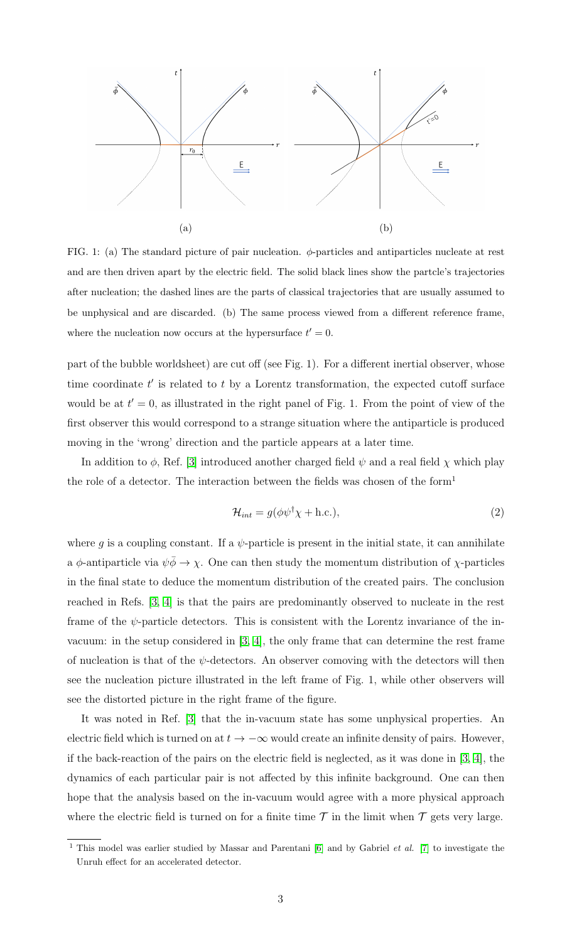

FIG. 1: (a) The standard picture of pair nucleation.  $\phi$ -particles and antiparticles nucleate at rest and are then driven apart by the electric field. The solid black lines show the partcle's trajectories after nucleation; the dashed lines are the parts of classical trajectories that are usually assumed to be unphysical and are discarded. (b) The same process viewed from a different reference frame, where the nucleation now occurs at the hypersurface  $t' = 0$ .

part of the bubble worldsheet) are cut off (see Fig. 1). For a different inertial observer, whose time coordinate  $t'$  is related to  $t$  by a Lorentz transformation, the expected cutoff surface would be at  $t' = 0$ , as illustrated in the right panel of Fig. 1. From the point of view of the first observer this would correspond to a strange situation where the antiparticle is produced moving in the 'wrong' direction and the particle appears at a later time.

In addition to  $\phi$ , Ref. [\[3\]](#page-18-1) introduced another charged field  $\psi$  and a real field  $\chi$  which play the role of a detector. The interaction between the fields was chosen of the form<sup>1</sup>

<span id="page-2-0"></span>
$$
\mathcal{H}_{int} = g(\phi \psi^{\dagger} \chi + \text{h.c.}),\tag{2}
$$

where g is a coupling constant. If a  $\psi$ -particle is present in the initial state, it can annihilate a φ-antiparticle via  $\psi \bar{\phi} \to \chi$ . One can then study the momentum distribution of  $\chi$ -particles in the final state to deduce the momentum distribution of the created pairs. The conclusion reached in Refs. [\[3,](#page-18-1) [4\]](#page-18-2) is that the pairs are predominantly observed to nucleate in the rest frame of the  $\psi$ -particle detectors. This is consistent with the Lorentz invariance of the invacuum: in the setup considered in [\[3,](#page-18-1) [4\]](#page-18-2), the only frame that can determine the rest frame of nucleation is that of the  $\psi$ -detectors. An observer comoving with the detectors will then see the nucleation picture illustrated in the left frame of Fig. 1, while other observers will see the distorted picture in the right frame of the figure.

It was noted in Ref. [\[3\]](#page-18-1) that the in-vacuum state has some unphysical properties. An electric field which is turned on at  $t \to -\infty$  would create an infinite density of pairs. However, if the back-reaction of the pairs on the electric field is neglected, as it was done in [\[3,](#page-18-1) [4\]](#page-18-2), the dynamics of each particular pair is not affected by this infinite background. One can then hope that the analysis based on the in-vacuum would agree with a more physical approach where the electric field is turned on for a finite time  $\mathcal T$  in the limit when  $\mathcal T$  gets very large.

<sup>&</sup>lt;sup>1</sup> This model was earlier studied by Massar and Parentani [\[6\]](#page-18-4) and by Gabriel *et al.* [\[7\]](#page-18-5) to investigate the Unruh effect for an accelerated detector.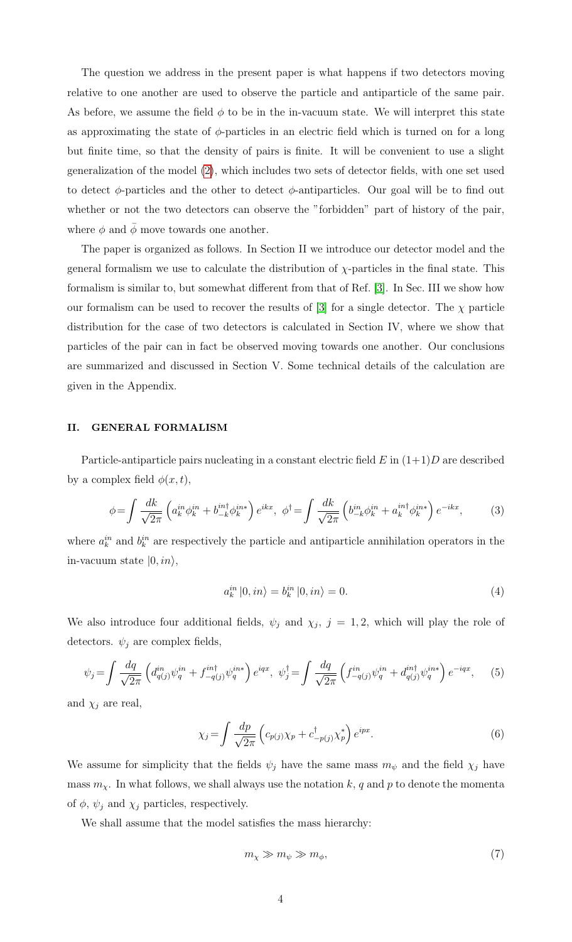The question we address in the present paper is what happens if two detectors moving relative to one another are used to observe the particle and antiparticle of the same pair. As before, we assume the field  $\phi$  to be in the in-vacuum state. We will interpret this state as approximating the state of  $\phi$ -particles in an electric field which is turned on for a long but finite time, so that the density of pairs is finite. It will be convenient to use a slight generalization of the model [\(2\)](#page-2-0), which includes two sets of detector fields, with one set used to detect  $\phi$ -particles and the other to detect  $\phi$ -antiparticles. Our goal will be to find out whether or not the two detectors can observe the "forbidden" part of history of the pair, where  $\phi$  and  $\bar{\phi}$  move towards one another.

The paper is organized as follows. In Section II we introduce our detector model and the general formalism we use to calculate the distribution of  $\chi$ -particles in the final state. This formalism is similar to, but somewhat different from that of Ref. [\[3\]](#page-18-1). In Sec. III we show how our formalism can be used to recover the results of [\[3\]](#page-18-1) for a single detector. The  $\chi$  particle distribution for the case of two detectors is calculated in Section IV, where we show that particles of the pair can in fact be observed moving towards one another. Our conclusions are summarized and discussed in Section V. Some technical details of the calculation are given in the Appendix.

# II. GENERAL FORMALISM

Particle-antiparticle pairs nucleating in a constant electric field  $E$  in  $(1+1)D$  are described by a complex field  $\phi(x, t)$ ,

$$
\phi = \int \frac{dk}{\sqrt{2\pi}} \left( a_k^{in} \phi_k^{in} + b_{-k}^{in\dagger} \phi_k^{in*} \right) e^{ikx}, \quad \phi^\dagger = \int \frac{dk}{\sqrt{2\pi}} \left( b_{-k}^{in} \phi_k^{in} + a_k^{in\dagger} \phi_k^{in*} \right) e^{-ikx},\tag{3}
$$

where  $a_k^{in}$  and  $b_k^{in}$  are respectively the particle and antiparticle annihilation operators in the in-vacuum state  $|0, in\rangle,$ 

$$
a_k^{in} |0, in\rangle = b_k^{in} |0, in\rangle = 0.
$$
\n
$$
(4)
$$

We also introduce four additional fields,  $\psi_j$  and  $\chi_j$ ,  $j = 1, 2$ , which will play the role of detectors.  $\psi_j$  are complex fields,

$$
\psi_j = \int \frac{dq}{\sqrt{2\pi}} \left( d_{q(j)}^{in} \psi_q^{in} + f_{-q(j)}^{in\dagger} \psi_q^{in*} \right) e^{iqx}, \quad \psi_j^{\dagger} = \int \frac{dq}{\sqrt{2\pi}} \left( f_{-q(j)}^{in} \psi_q^{in} + d_{q(j)}^{in\dagger} \psi_q^{in*} \right) e^{-iqx}, \tag{5}
$$

and  $\chi_j$  are real,

$$
\chi_j = \int \frac{dp}{\sqrt{2\pi}} \left( c_{p(j)} \chi_p + c_{-p(j)}^\dagger \chi_p^* \right) e^{ipx} . \tag{6}
$$

We assume for simplicity that the fields  $\psi_j$  have the same mass  $m_{\psi}$  and the field  $\chi_j$  have mass  $m_{\chi}$ . In what follows, we shall always use the notation k, q and p to denote the momenta of  $\phi$ ,  $\psi_j$  and  $\chi_j$  particles, respectively.

We shall assume that the model satisfies the mass hierarchy:

<span id="page-3-0"></span>
$$
m_{\chi} \gg m_{\psi} \gg m_{\phi},\tag{7}
$$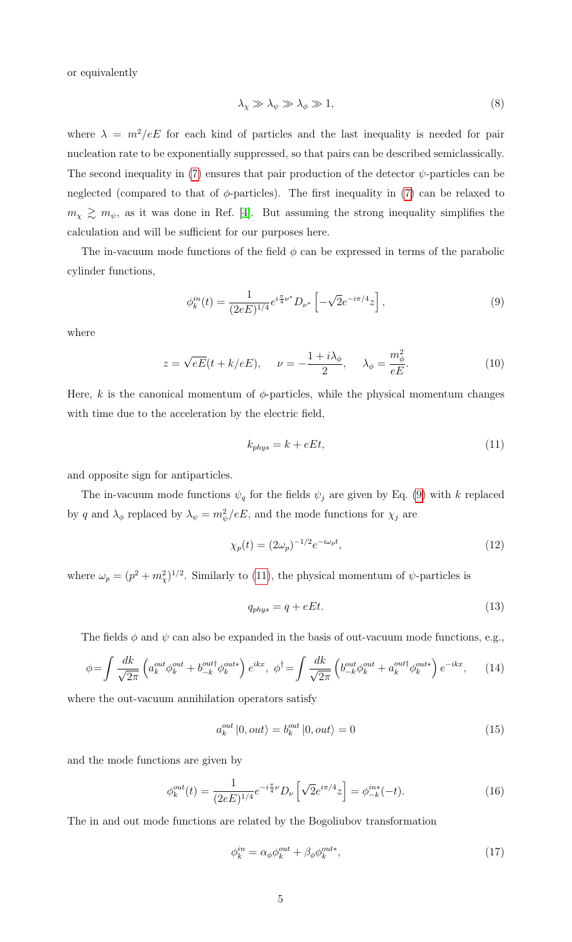or equivalently

$$
\lambda_{\chi} \gg \lambda_{\psi} \gg \lambda_{\phi} \gg 1, \tag{8}
$$

where  $\lambda = m^2/eE$  for each kind of particles and the last inequality is needed for pair nucleation rate to be exponentially suppressed, so that pairs can be described semiclassically. The second inequality in [\(7\)](#page-3-0) ensures that pair production of the detector  $\psi$ -particles can be neglected (compared to that of  $\phi$ -particles). The first inequality in [\(7\)](#page-3-0) can be relaxed to  $m_{\chi} \gtrsim m_{\psi}$ , as it was done in Ref. [\[4\]](#page-18-2). But assuming the strong inequality simplifies the calculation and will be sufficient for our purposes here.

The in-vacuum mode functions of the field  $\phi$  can be expressed in terms of the parabolic cylinder functions,

$$
\phi_k^{in}(t) = \frac{1}{(2eE)^{1/4}} e^{i\frac{\pi}{4}\nu^*} D_{\nu^*} \left[ -\sqrt{2}e^{-i\pi/4}z \right],\tag{9}
$$

where

$$
z = \sqrt{eE}(t + k/eE), \quad \nu = -\frac{1 + i\lambda_{\phi}}{2}, \quad \lambda_{\phi} = \frac{m_{\phi}^2}{eE}.
$$
 (10)

Here, k is the canonical momentum of  $\phi$ -particles, while the physical momentum changes with time due to the acceleration by the electric field,

<span id="page-4-1"></span><span id="page-4-0"></span>
$$
k_{phys} = k + eEt,
$$
\n<sup>(11)</sup>

and opposite sign for antiparticles.

The in-vacuum mode functions  $\psi_q$  for the fields  $\psi_j$  are given by Eq. [\(9\)](#page-4-0) with k replaced by q and  $\lambda_{\phi}$  replaced by  $\lambda_{\psi} = m_{\psi}^2/eE$ , and the mode functions for  $\chi_j$  are

$$
\chi_p(t) = (2\omega_p)^{-1/2} e^{-i\omega_p t},\tag{12}
$$

where  $\omega_p = (p^2 + m_\chi^2)^{1/2}$ . Similarly to [\(11\)](#page-4-1), the physical momentum of  $\psi$ -particles is

$$
q_{phys} = q + eEt.
$$
\n<sup>(13)</sup>

The fields  $\phi$  and  $\psi$  can also be expanded in the basis of out-vacuum mode functions, e.g.,

$$
\phi = \int \frac{dk}{\sqrt{2\pi}} \left( a_k^{out} \phi_k^{out} + b_{-k}^{out\dagger} \phi_k^{out*} \right) e^{ikx}, \quad \phi^\dagger = \int \frac{dk}{\sqrt{2\pi}} \left( b_{-k}^{out} \phi_k^{out} + a_k^{out\dagger} \phi_k^{out*} \right) e^{-ikx}, \tag{14}
$$

where the out-vacuum annihilation operators satisfy

$$
a_k^{out} |0, out\rangle = b_k^{out} |0, out\rangle = 0
$$
\n(15)

and the mode functions are given by

$$
\phi_k^{out}(t) = \frac{1}{(2eE)^{1/4}} e^{-i\frac{\pi}{4}\nu} D_\nu \left[ \sqrt{2} e^{i\pi/4} z \right] = \phi_{-k}^{in*}(-t). \tag{16}
$$

The in and out mode functions are related by the Bogoliubov transformation

<span id="page-4-2"></span>
$$
\phi_k^{in} = \alpha_\phi \phi_k^{out} + \beta_\phi \phi_k^{out*},\tag{17}
$$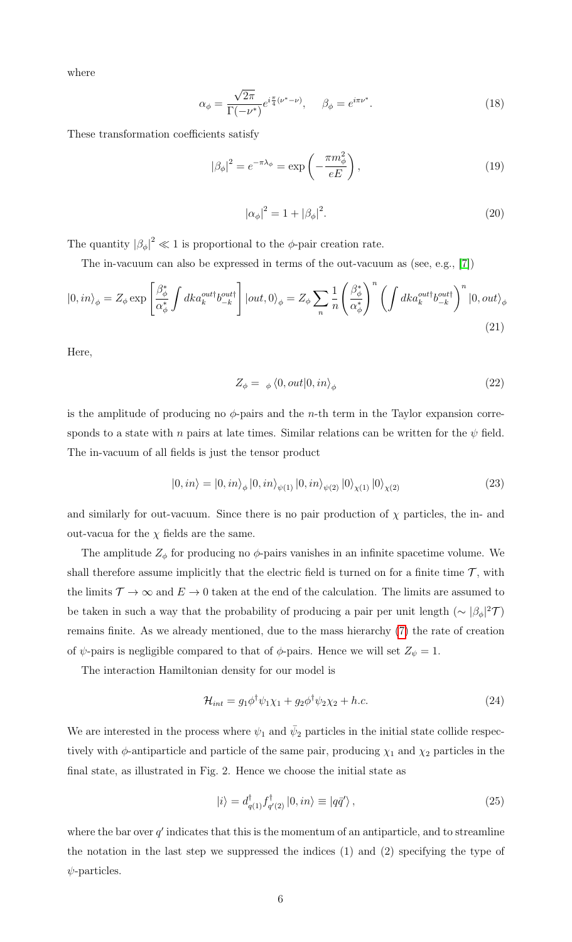where

$$
\alpha_{\phi} = \frac{\sqrt{2\pi}}{\Gamma(-\nu^*)} e^{i\frac{\pi}{4}(\nu^* - \nu)}, \quad \beta_{\phi} = e^{i\pi\nu^*}.
$$
\n(18)

These transformation coefficients satisfy

$$
|\beta_{\phi}|^2 = e^{-\pi\lambda_{\phi}} = \exp\left(-\frac{\pi m_{\phi}^2}{eE}\right),\tag{19}
$$

$$
|\alpha_{\phi}|^2 = 1 + |\beta_{\phi}|^2.
$$
 (20)

The quantity  $|\beta_{\phi}|^2 \ll 1$  is proportional to the  $\phi$ -pair creation rate.

The in-vacuum can also be expressed in terms of the out-vacuum as (see, e.g., [\[7\]](#page-18-5))

$$
|0,in\rangle_{\phi} = Z_{\phi} \exp\left[\frac{\beta_{\phi}^{*}}{\alpha_{\phi}^{*}} \int dk a_{k}^{out\dagger} b_{-k}^{out\dagger}\right] |out,0\rangle_{\phi} = Z_{\phi} \sum_{n} \frac{1}{n} \left(\frac{\beta_{\phi}^{*}}{\alpha_{\phi}^{*}}\right)^{n} \left(\int dk a_{k}^{out\dagger} b_{-k}^{out\dagger}\right)^{n} |0,out\rangle_{\phi}
$$
\n(21)

Here,

<span id="page-5-1"></span>
$$
Z_{\phi} = \left. _{\phi} \langle 0, out | 0, in \rangle_{\phi} \right. \tag{22}
$$

is the amplitude of producing no  $\phi$ -pairs and the *n*-th term in the Taylor expansion corresponds to a state with n pairs at late times. Similar relations can be written for the  $\psi$  field. The in-vacuum of all fields is just the tensor product

$$
|0,in\rangle = |0,in\rangle_{\phi}|0,in\rangle_{\psi(1)}|0,in\rangle_{\psi(2)}|0\rangle_{\chi(1)}|0\rangle_{\chi(2)}\tag{23}
$$

and similarly for out-vacuum. Since there is no pair production of  $\chi$  particles, the in- and out-vacua for the  $\chi$  fields are the same.

The amplitude  $Z_{\phi}$  for producing no  $\phi$ -pairs vanishes in an infinite spacetime volume. We shall therefore assume implicitly that the electric field is turned on for a finite time  $\mathcal{T},$  with the limits  $\mathcal{T} \to \infty$  and  $E \to 0$  taken at the end of the calculation. The limits are assumed to be taken in such a way that the probability of producing a pair per unit length  $({\sim |\beta_{\phi}|^2 \tau})$ remains finite. As we already mentioned, due to the mass hierarchy [\(7\)](#page-3-0) the rate of creation of  $\psi$ -pairs is negligible compared to that of  $\phi$ -pairs. Hence we will set  $Z_{\psi} = 1$ .

The interaction Hamiltonian density for our model is

$$
\mathcal{H}_{int} = g_1 \phi^\dagger \psi_1 \chi_1 + g_2 \phi^\dagger \psi_2 \chi_2 + h.c.
$$
\n(24)

We are interested in the process where  $\psi_1$  and  $\bar{\psi}_2$  particles in the initial state collide respectively with  $\phi$ -antiparticle and particle of the same pair, producing  $\chi_1$  and  $\chi_2$  particles in the final state, as illustrated in Fig. 2. Hence we choose the initial state as

<span id="page-5-0"></span>
$$
|i\rangle = d_{q(1)}^{\dagger} f_{q'(2)}^{\dagger} |0, in\rangle \equiv |q\bar{q}'\rangle , \qquad (25)
$$

where the bar over  $q'$  indicates that this is the momentum of an antiparticle, and to streamline the notation in the last step we suppressed the indices (1) and (2) specifying the type of  $\psi$ -particles.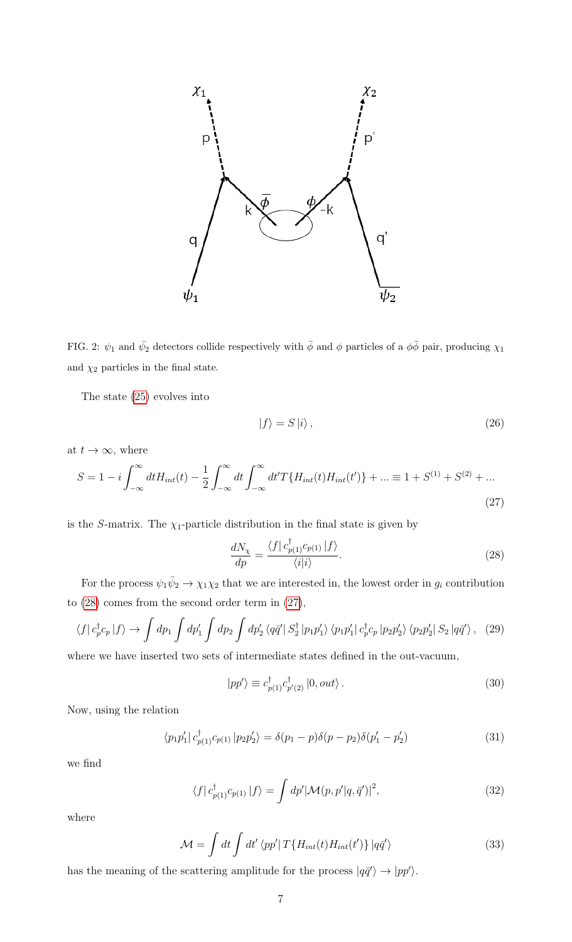

FIG. 2:  $\psi_1$  and  $\bar{\psi}_2$  detectors collide respectively with  $\bar{\phi}$  and  $\phi$  particles of a  $\phi\bar{\phi}$  pair, producing  $\chi_1$ and  $\chi_2$  particles in the final state.

The state [\(25\)](#page-5-0) evolves into

<span id="page-6-1"></span><span id="page-6-0"></span>
$$
|f\rangle = S|i\rangle, \tag{26}
$$

at  $t \to \infty$ , where

$$
S = 1 - i \int_{-\infty}^{\infty} dt H_{int}(t) - \frac{1}{2} \int_{-\infty}^{\infty} dt \int_{-\infty}^{\infty} dt' T\{H_{int}(t)H_{int}(t')\} + \dots \equiv 1 + S^{(1)} + S^{(2)} + \dots
$$
\n(27)

is the S-matrix. The  $\chi_1$ -particle distribution in the final state is given by

$$
\frac{dN_{\chi}}{dp} = \frac{\langle f | c_{p(1)}^{\dagger} c_{p(1)} | f \rangle}{\langle i | i \rangle}.
$$
\n(28)

For the process  $\psi_1 \bar{\psi}_2 \to \chi_1 \chi_2$  that we are interested in, the lowest order in  $g_i$  contribution to [\(28\)](#page-6-0) comes from the second order term in [\(27\)](#page-6-1),

$$
\langle f | c_p^{\dagger} c_p | f \rangle \to \int dp_1 \int dp'_1 \int dp_2 \int dp'_2 \langle q \bar{q}' | S_2^{\dagger} | p_1 p'_1 \rangle \langle p_1 p'_1 | c_p^{\dagger} c_p | p_2 p'_2 \rangle \langle p_2 p'_2 | S_2 | q \bar{q}' \rangle, \tag{29}
$$

where we have inserted two sets of intermediate states defined in the out-vacuum,

$$
|pp'\rangle \equiv c_{p(1)}^{\dagger} c_{p'(2)}^{\dagger} |0, out\rangle. \tag{30}
$$

Now, using the relation

$$
\langle p_1 p_1' | c_{p(1)}^\dagger c_{p(1)} | p_2 p_2' \rangle = \delta(p_1 - p) \delta(p - p_2) \delta(p_1' - p_2')
$$
\n(31)

we find

<span id="page-6-2"></span>
$$
\langle f | c_{p(1)}^{\dagger} c_{p(1)} | f \rangle = \int dp' |\mathcal{M}(p, p'|q, \bar{q}')|^2, \tag{32}
$$

where

$$
\mathcal{M} = \int dt \int dt' \langle pp' | T\{H_{int}(t)H_{int}(t')\} |q\bar{q}'\rangle \tag{33}
$$

has the meaning of the scattering amplitude for the process  $|q\bar{q}'\rangle \rightarrow |pp'\rangle$ .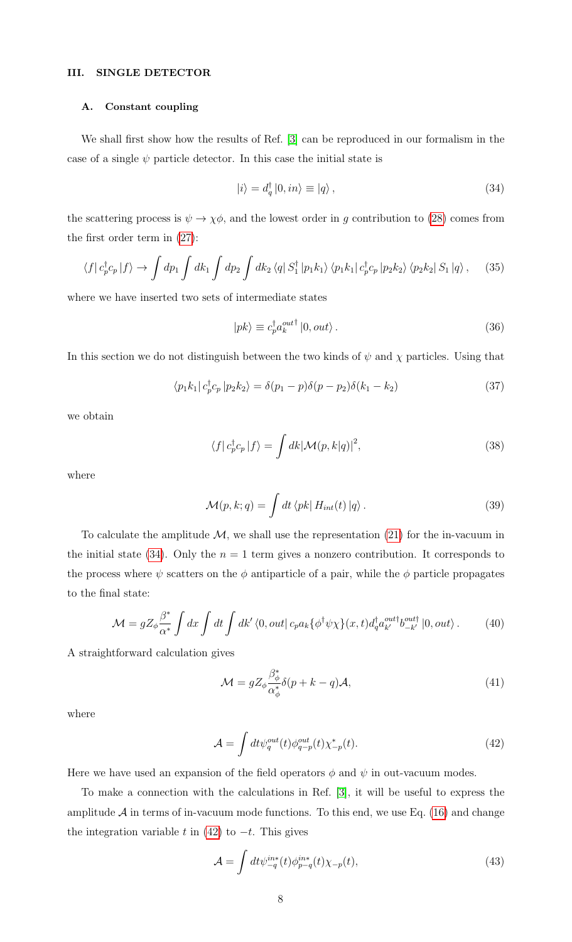### III. SINGLE DETECTOR

# A. Constant coupling

We shall first show how the results of Ref. [\[3\]](#page-18-1) can be reproduced in our formalism in the case of a single  $\psi$  particle detector. In this case the initial state is

<span id="page-7-0"></span>
$$
|i\rangle = d_q^{\dagger} |0, in\rangle \equiv |q\rangle , \qquad (34)
$$

the scattering process is  $\psi \to \chi \phi$ , and the lowest order in g contribution to [\(28\)](#page-6-0) comes from the first order term in [\(27\)](#page-6-1):

$$
\langle f | c_p^{\dagger} c_p | f \rangle \to \int dp_1 \int dk_1 \int dp_2 \int dk_2 \langle q | S_1^{\dagger} | p_1 k_1 \rangle \langle p_1 k_1 | c_p^{\dagger} c_p | p_2 k_2 \rangle \langle p_2 k_2 | S_1 | q \rangle, \quad (35)
$$

where we have inserted two sets of intermediate states

<span id="page-7-4"></span>
$$
|pk\rangle \equiv c_p^{\dagger} a_k^{out^{\dagger}} |0, out\rangle. \tag{36}
$$

In this section we do not distinguish between the two kinds of  $\psi$  and  $\chi$  particles. Using that

$$
\langle p_1 k_1 | c_p^{\dagger} c_p | p_2 k_2 \rangle = \delta(p_1 - p) \delta(p - p_2) \delta(k_1 - k_2)
$$
\n(37)

we obtain

$$
\langle f | c_p^{\dagger} c_p | f \rangle = \int dk |{\cal M}(p,k|q)|^2,\tag{38}
$$

where

$$
\mathcal{M}(p,k;q) = \int dt \langle pk | H_{int}(t) | q \rangle.
$$
 (39)

To calculate the amplitude  $\mathcal{M}$ , we shall use the representation [\(21\)](#page-5-1) for the in-vacuum in the initial state [\(34\)](#page-7-0). Only the  $n = 1$  term gives a nonzero contribution. It corresponds to the process where  $\psi$  scatters on the  $\phi$  antiparticle of a pair, while the  $\phi$  particle propagates to the final state:

$$
\mathcal{M} = g Z_{\phi} \frac{\beta^*}{\alpha^*} \int dx \int dt \int dk' \langle 0, out | c_{p} a_{k} {\phi^{\dagger} \psi \chi} \rangle(x, t) d_{q}^{\dagger} a_{k'}^{out\dagger} b_{-k'}^{out\dagger} |0, out \rangle. \tag{40}
$$

A straightforward calculation gives

<span id="page-7-3"></span><span id="page-7-1"></span>
$$
\mathcal{M} = g Z_{\phi} \frac{\beta_{\phi}^*}{\alpha_{\phi}^*} \delta(p + k - q) \mathcal{A}, \tag{41}
$$

where

$$
\mathcal{A} = \int dt \psi_q^{out}(t) \phi_{q-p}^{out}(t) \chi_{-p}^*(t). \tag{42}
$$

Here we have used an expansion of the field operators  $\phi$  and  $\psi$  in out-vacuum modes.

To make a connection with the calculations in Ref. [\[3\]](#page-18-1), it will be useful to express the amplitude  $A$  in terms of in-vacuum mode functions. To this end, we use Eq. [\(16\)](#page-4-2) and change the integration variable t in [\(42\)](#page-7-1) to  $-t$ . This gives

<span id="page-7-2"></span>
$$
\mathcal{A} = \int dt \psi_{-q}^{in*}(t) \phi_{p-q}^{in*}(t) \chi_{-p}(t), \qquad (43)
$$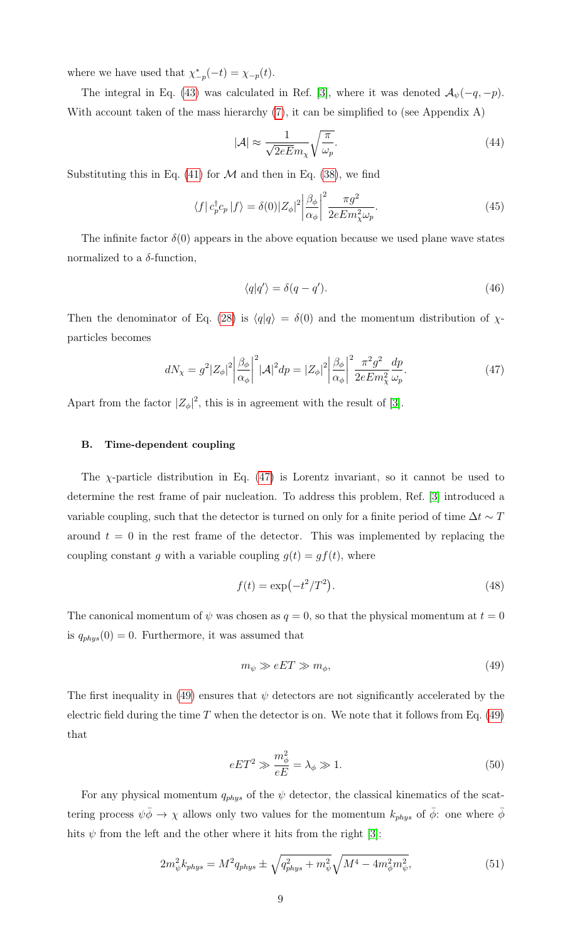where we have used that  $\chi^*_{-p}(-t) = \chi_{-p}(t)$ .

The integral in Eq. [\(43\)](#page-7-2) was calculated in Ref. [\[3\]](#page-18-1), where it was denoted  $\mathcal{A}_{\psi}(-q, -p)$ . With account taken of the mass hierarchy [\(7\)](#page-3-0), it can be simplified to (see Appendix A)

<span id="page-8-4"></span>
$$
|\mathcal{A}| \approx \frac{1}{\sqrt{2eE}m_{\chi}}\sqrt{\frac{\pi}{\omega_p}}.\tag{44}
$$

Substituting this in Eq.  $(41)$  for M and then in Eq.  $(38)$ , we find

$$
\langle f | c_p^{\dagger} c_p | f \rangle = \delta(0) |Z_{\phi}|^2 \left| \frac{\beta_{\phi}}{\alpha_{\phi}} \right|^2 \frac{\pi g^2}{2e E m_{\chi}^2 \omega_p}.
$$
 (45)

The infinite factor  $\delta(0)$  appears in the above equation because we used plane wave states normalized to a  $\delta$ -function,

<span id="page-8-0"></span>
$$
\langle q|q'\rangle = \delta(q - q').\tag{46}
$$

Then the denominator of Eq. [\(28\)](#page-6-0) is  $\langle q|q\rangle = \delta(0)$  and the momentum distribution of  $\chi$ particles becomes

$$
dN_{\chi} = g^2 |Z_{\phi}|^2 \left| \frac{\beta_{\phi}}{\alpha_{\phi}} \right|^2 |\mathcal{A}|^2 dp = |Z_{\phi}|^2 \left| \frac{\beta_{\phi}}{\alpha_{\phi}} \right|^2 \frac{\pi^2 g^2}{2e E m_{\chi}^2} \frac{dp}{\omega_p}.
$$
 (47)

Apart from the factor  $|Z_{\phi}|^2$ , this is in agreement with the result of [\[3\]](#page-18-1).

#### B. Time-dependent coupling

The  $\chi$ -particle distribution in Eq. [\(47\)](#page-8-0) is Lorentz invariant, so it cannot be used to determine the rest frame of pair nucleation. To address this problem, Ref. [\[3\]](#page-18-1) introduced a variable coupling, such that the detector is turned on only for a finite period of time  $\Delta t \sim T$ around  $t = 0$  in the rest frame of the detector. This was implemented by replacing the coupling constant g with a variable coupling  $g(t) = gf(t)$ , where

<span id="page-8-3"></span>
$$
f(t) = \exp(-t^2/T^2). \tag{48}
$$

The canonical momentum of  $\psi$  was chosen as  $q = 0$ , so that the physical momentum at  $t = 0$ is  $q_{phys}(0) = 0$ . Furthermore, it was assumed that

<span id="page-8-1"></span>
$$
m_{\psi} \gg eET \gg m_{\phi},\tag{49}
$$

The first inequality in [\(49\)](#page-8-1) ensures that  $\psi$  detectors are not significantly accelerated by the electric field during the time  $T$  when the detector is on. We note that it follows from Eq. [\(49\)](#page-8-1) that

<span id="page-8-2"></span>
$$
eET^2 \gg \frac{m_{\phi}^2}{eE} = \lambda_{\phi} \gg 1. \tag{50}
$$

For any physical momentum  $q_{phys}$  of the  $\psi$  detector, the classical kinematics of the scattering process  $\psi \bar{\phi} \to \chi$  allows only two values for the momentum  $k_{phys}$  of  $\bar{\phi}$ : one where  $\bar{\phi}$ hits  $\psi$  from the left and the other where it hits from the right [\[3\]](#page-18-1):

$$
2m_{\psi}^{2}k_{phys} = M^{2}q_{phys} \pm \sqrt{q_{phys}^{2} + m_{\psi}^{2}} \sqrt{M^{4} - 4m_{\phi}^{2}m_{\psi}^{2}},
$$
\n(51)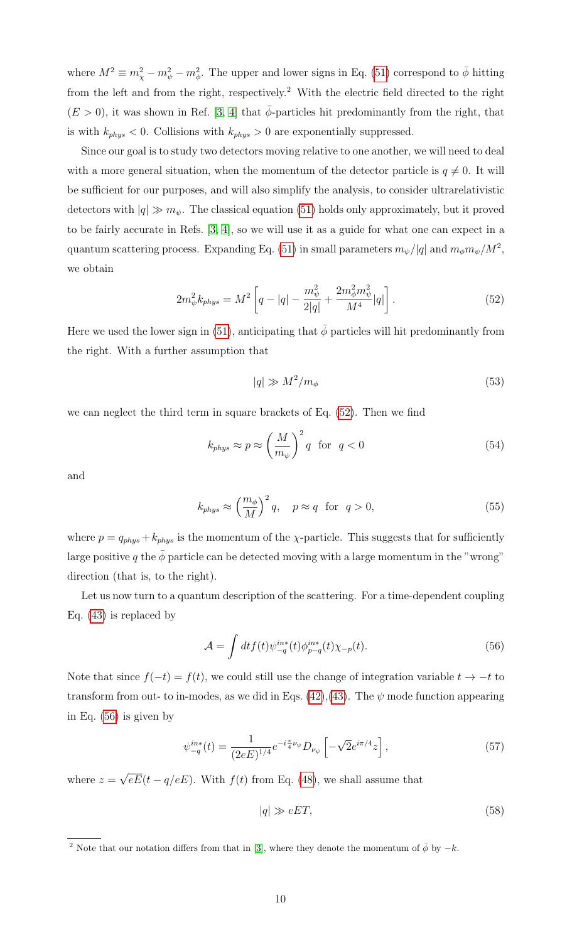where  $M^2 \equiv m_{\chi}^2 - m_{\psi}^2 - m_{\phi}^2$ . The upper and lower signs in Eq. [\(51\)](#page-8-2) correspond to  $\bar{\phi}$  hitting from the left and from the right, respectively.<sup>2</sup> With the electric field directed to the right  $(E > 0)$ , it was shown in Ref. [\[3,](#page-18-1) [4\]](#page-18-2) that  $\bar{\phi}$ -particles hit predominantly from the right, that is with  $k_{phys} < 0$ . Collisions with  $k_{phys} > 0$  are exponentially suppressed.

Since our goal is to study two detectors moving relative to one another, we will need to deal with a more general situation, when the momentum of the detector particle is  $q \neq 0$ . It will be sufficient for our purposes, and will also simplify the analysis, to consider ultrarelativistic detectors with  $|q| \gg m_{\psi}$ . The classical equation [\(51\)](#page-8-2) holds only approximately, but it proved to be fairly accurate in Refs. [\[3,](#page-18-1) [4\]](#page-18-2), so we will use it as a guide for what one can expect in a quantum scattering process. Expanding Eq. [\(51\)](#page-8-2) in small parameters  $m_{\psi}/|q|$  and  $m_{\phi}m_{\psi}/M^2$ , we obtain

$$
2m_{\psi}^{2}k_{phys} = M^{2} \left[ q - |q| - \frac{m_{\psi}^{2}}{2|q|} + \frac{2m_{\phi}^{2}m_{\psi}^{2}}{M^{4}}|q| \right]. \tag{52}
$$

Here we used the lower sign in [\(51\)](#page-8-2), anticipating that  $\bar{\phi}$  particles will hit predominantly from the right. With a further assumption that

<span id="page-9-5"></span><span id="page-9-4"></span><span id="page-9-0"></span>
$$
|q| \gg M^2 / m_\phi \tag{53}
$$

we can neglect the third term in square brackets of Eq. [\(52\)](#page-9-0). Then we find

$$
k_{phys} \approx p \approx \left(\frac{M}{m_{\psi}}\right)^2 q \quad \text{for} \quad q < 0 \tag{54}
$$

and

$$
k_{phys} \approx \left(\frac{m_{\phi}}{M}\right)^2 q, \quad p \approx q \quad \text{for} \quad q > 0,\tag{55}
$$

where  $p = q_{phys} + k_{phys}$  is the momentum of the  $\chi$ -particle. This suggests that for sufficiently large positive q the  $\bar{\phi}$  particle can be detected moving with a large momentum in the "wrong" direction (that is, to the right).

Let us now turn to a quantum description of the scattering. For a time-dependent coupling Eq. [\(43\)](#page-7-2) is replaced by

<span id="page-9-1"></span>
$$
\mathcal{A} = \int dt f(t) \psi_{-q}^{in*}(t) \phi_{p-q}^{in*}(t) \chi_{-p}(t). \tag{56}
$$

Note that since  $f(-t) = f(t)$ , we could still use the change of integration variable  $t \to -t$  to transform from out- to in-modes, as we did in Eqs. [\(42\)](#page-7-1), [\(43\)](#page-7-2). The  $\psi$  mode function appearing in Eq. [\(56\)](#page-9-1) is given by

$$
\psi_{-q}^{in*}(t) = \frac{1}{(2eE)^{1/4}} e^{-i\frac{\pi}{4}\nu_{\psi}} D_{\nu_{\psi}} \left[ -\sqrt{2}e^{i\pi/4} z \right],
$$
\n(57)

where  $z =$ √  $eE(t - q/eE)$ . With  $f(t)$  from Eq. [\(48\)](#page-8-3), we shall assume that

<span id="page-9-3"></span><span id="page-9-2"></span>
$$
|q| \gg eET,\tag{58}
$$

<sup>&</sup>lt;sup>2</sup> Note that our notation differs from that in [\[3\]](#page-18-1), where they denote the momentum of  $\bar{\phi}$  by  $-k$ .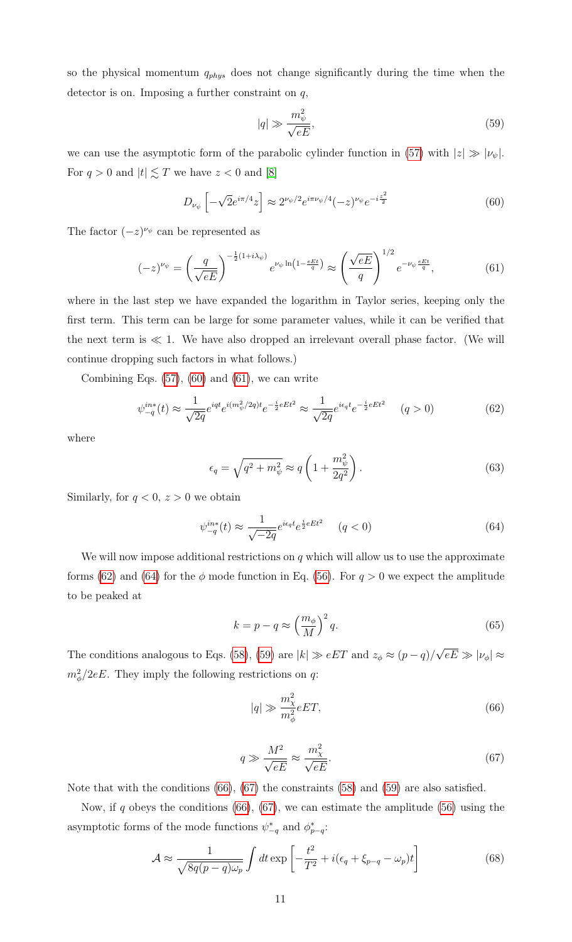so the physical momentum  $q_{phys}$  does not change significantly during the time when the detector is on. Imposing a further constraint on  $q$ ,

<span id="page-10-4"></span><span id="page-10-1"></span><span id="page-10-0"></span>
$$
|q| \gg \frac{m_{\psi}^2}{\sqrt{eE}},\tag{59}
$$

we can use the asymptotic form of the parabolic cylinder function in [\(57\)](#page-9-2) with  $|z| \gg |\nu_{\psi}|$ . For  $q > 0$  and  $|t| \lesssim T$  we have  $z < 0$  and [\[8\]](#page-18-6)

$$
D_{\nu_{\psi}}\left[-\sqrt{2}e^{i\pi/4}z\right] \approx 2^{\nu_{\psi}/2}e^{i\pi\nu_{\psi}/4}(-z)^{\nu_{\psi}}e^{-i\frac{z^2}{2}} \tag{60}
$$

The factor  $(-z)^{\nu_{\psi}}$  can be represented as

$$
(-z)^{\nu_{\psi}} = \left(\frac{q}{\sqrt{eE}}\right)^{-\frac{1}{2}(1+i\lambda_{\psi})} e^{\nu_{\psi}\ln\left(1-\frac{eEt}{q}\right)} \approx \left(\frac{\sqrt{eE}}{q}\right)^{1/2} e^{-\nu_{\psi}\frac{eEt}{q}},\tag{61}
$$

where in the last step we have expanded the logarithm in Taylor series, keeping only the first term. This term can be large for some parameter values, while it can be verified that the next term is  $\ll 1$ . We have also dropped an irrelevant overall phase factor. (We will continue dropping such factors in what follows.)

Combining Eqs.  $(57)$ ,  $(60)$  and  $(61)$ , we can write

$$
\psi_{-q}^{in*}(t) \approx \frac{1}{\sqrt{2q}} e^{iqt} e^{i(m_{\psi}^2/2q)t} e^{-\frac{i}{2}eEt^2} \approx \frac{1}{\sqrt{2q}} e^{i\epsilon_q t} e^{-\frac{i}{2}eEt^2} \qquad (q > 0)
$$
\n(62)

where

<span id="page-10-2"></span>
$$
\epsilon_q = \sqrt{q^2 + m_\psi^2} \approx q \left( 1 + \frac{m_\psi^2}{2q^2} \right). \tag{63}
$$

Similarly, for  $q < 0$ ,  $z > 0$  we obtain

$$
\psi_{-q}^{in*}(t) \approx \frac{1}{\sqrt{-2q}} e^{i\epsilon_q t} e^{\frac{i}{2}eEt^2} \qquad (q < 0)
$$
\n(64)

We will now impose additional restrictions on  $q$  which will allow us to use the approximate forms [\(62\)](#page-10-2) and [\(64\)](#page-10-3) for the  $\phi$  mode function in Eq. [\(56\)](#page-9-1). For  $q > 0$  we expect the amplitude to be peaked at

<span id="page-10-3"></span>
$$
k = p - q \approx \left(\frac{m_{\phi}}{M}\right)^2 q.
$$
\n(65)

The conditions analogous to Eqs. [\(58\)](#page-9-3), [\(59\)](#page-10-4) are  $|k| \gg eET$  and  $z_{\phi} \approx (p - q)$ / √  $eE \gg |\nu_\phi| \approx$  $m_{\phi}^2/2eE$ . They imply the following restrictions on q:

<span id="page-10-6"></span><span id="page-10-5"></span>
$$
|q| \gg \frac{m_{\chi}^2}{m_{\phi}^2} eET,\tag{66}
$$

$$
q \gg \frac{M^2}{\sqrt{eE}} \approx \frac{m_\chi^2}{\sqrt{eE}}.\tag{67}
$$

Note that with the conditions [\(66\)](#page-10-5), [\(67\)](#page-10-6) the constraints [\(58\)](#page-9-3) and [\(59\)](#page-10-4) are also satisfied.

Now, if q obeys the conditions  $(66)$ ,  $(67)$ , we can estimate the amplitude  $(56)$  using the asymptotic forms of the mode functions  $\psi_{-q}^*$  and  $\phi_{p-q}^*$ :

$$
\mathcal{A} \approx \frac{1}{\sqrt{8q(p-q)\omega_p}} \int dt \exp\left[-\frac{t^2}{T^2} + i(\epsilon_q + \xi_{p-q} - \omega_p)t\right]
$$
(68)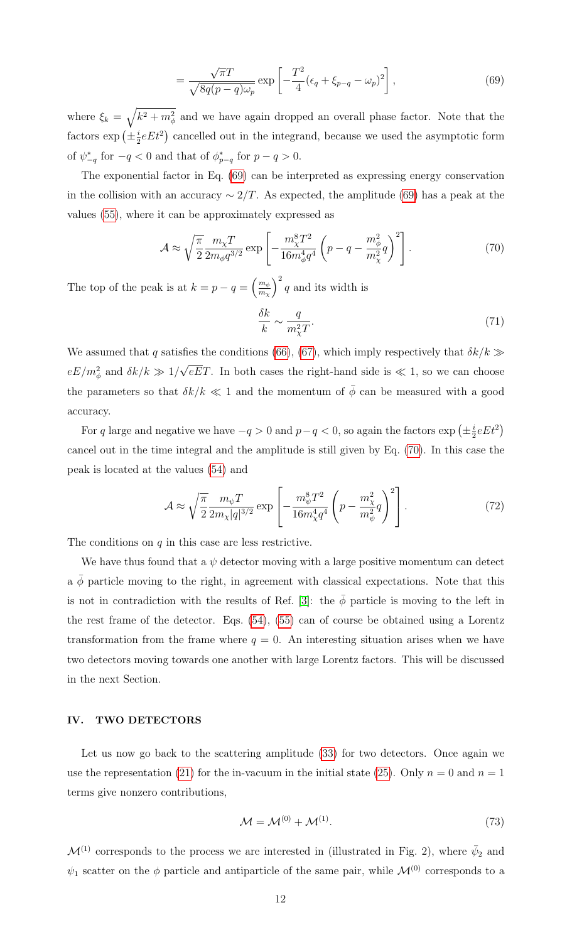<span id="page-11-0"></span>
$$
=\frac{\sqrt{\pi}T}{\sqrt{8q(p-q)\omega_p}}\exp\left[-\frac{T^2}{4}(\epsilon_q+\xi_{p-q}-\omega_p)^2\right],\tag{69}
$$

where  $\xi_k = \sqrt{k^2 + m_\phi^2}$  and we have again dropped an overall phase factor. Note that the factors  $\exp\left(\pm\frac{i}{2}\right)$  $\frac{i}{2}eEt^2$ ) cancelled out in the integrand, because we used the asymptotic form of  $\psi_{-q}^*$  for  $-q < 0$  and that of  $\phi_{p-q}^*$  for  $p-q > 0$ .

The exponential factor in Eq. [\(69\)](#page-11-0) can be interpreted as expressing energy conservation in the collision with an accuracy  $\sim 2/T$ . As expected, the amplitude [\(69\)](#page-11-0) has a peak at the values [\(55\)](#page-9-4), where it can be approximately expressed as

$$
\mathcal{A} \approx \sqrt{\frac{\pi}{2}} \frac{m_{\chi} T}{2m_{\phi} q^{3/2}} \exp\left[ -\frac{m_{\chi}^8 T^2}{16m_{\phi}^4 q^4} \left( p - q - \frac{m_{\phi}^2}{m_{\chi}^2} q \right)^2 \right].
$$
 (70)

The top of the peak is at  $k = p - q = \left(\frac{m_{\phi}}{m}\right)^{2}$  $m_\chi$  $\int_{a}^{2} q$  and its width is

<span id="page-11-1"></span>
$$
\frac{\delta k}{k} \sim \frac{q}{m_{\chi}^2 T}.\tag{71}
$$

We assumed that q satisfies the conditions [\(66\)](#page-10-5), [\(67\)](#page-10-6), which imply respectively that  $\delta k/k \gg$  $eE/m_\phi^2$  and  $\delta k/k \gg 1/$ √ eET. In both cases the right-hand side is  $\ll 1$ , so we can choose the parameters so that  $\delta k/k \ll 1$  and the momentum of  $\bar{\phi}$  can be measured with a good accuracy.

For q large and negative we have  $-q > 0$  and  $p - q < 0$ , so again the factors  $\exp\left(\pm\frac{i}{2}\right)$  $\frac{i}{2}eEt^2$ cancel out in the time integral and the amplitude is still given by Eq. [\(70\)](#page-11-1). In this case the peak is located at the values [\(54\)](#page-9-5) and

$$
\mathcal{A} \approx \sqrt{\frac{\pi}{2}} \frac{m_{\psi} T}{2m_{\chi}|q|^{3/2}} \exp\left[ -\frac{m_{\psi}^8 T^2}{16m_{\chi}^4 q^4} \left( p - \frac{m_{\chi}^2}{m_{\psi}^2} q \right)^2 \right].
$$
 (72)

The conditions on  $q$  in this case are less restrictive.

We have thus found that a  $\psi$  detector moving with a large positive momentum can detect a  $\bar{\phi}$  particle moving to the right, in agreement with classical expectations. Note that this is not in contradiction with the results of Ref. [\[3\]](#page-18-1): the  $\bar{\phi}$  particle is moving to the left in the rest frame of the detector. Eqs. [\(54\)](#page-9-5), [\(55\)](#page-9-4) can of course be obtained using a Lorentz transformation from the frame where  $q = 0$ . An interesting situation arises when we have two detectors moving towards one another with large Lorentz factors. This will be discussed in the next Section.

#### IV. TWO DETECTORS

Let us now go back to the scattering amplitude [\(33\)](#page-6-2) for two detectors. Once again we use the representation [\(21\)](#page-5-1) for the in-vacuum in the initial state [\(25\)](#page-5-0). Only  $n = 0$  and  $n = 1$ terms give nonzero contributions,

$$
\mathcal{M} = \mathcal{M}^{(0)} + \mathcal{M}^{(1)}.\tag{73}
$$

 $\mathcal{M}^{(1)}$  corresponds to the process we are interested in (illustrated in Fig. 2), where  $\bar{\psi}_2$  and  $\psi_1$  scatter on the  $\phi$  particle and antiparticle of the same pair, while  $\mathcal{M}^{(0)}$  corresponds to a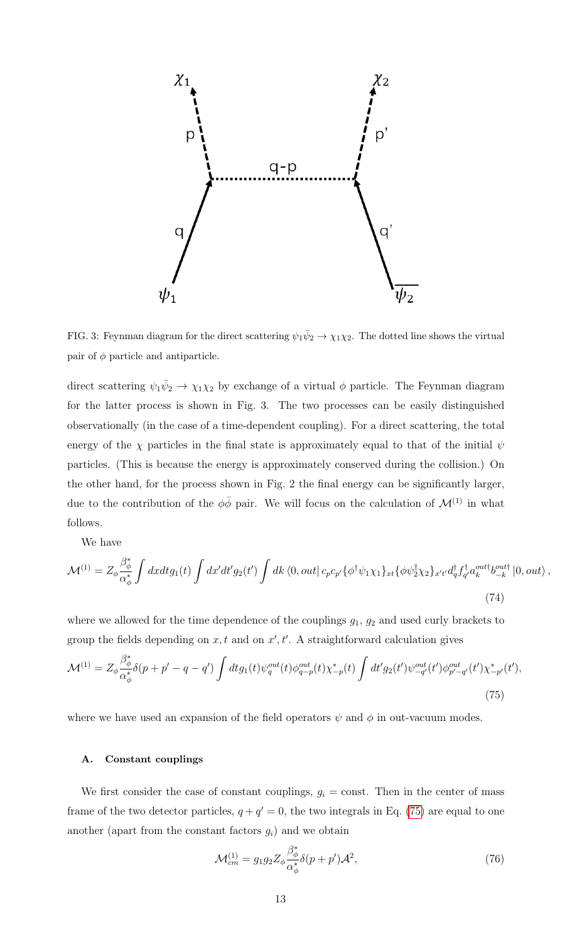

FIG. 3: Feynman diagram for the direct scattering  $\psi_1 \bar{\psi}_2 \to \chi_1 \chi_2$ . The dotted line shows the virtual pair of  $\phi$  particle and antiparticle.

direct scattering  $\psi_1 \bar{\psi}_2 \to \chi_1 \chi_2$  by exchange of a virtual  $\phi$  particle. The Feynman diagram for the latter process is shown in Fig. 3. The two processes can be easily distinguished observationally (in the case of a time-dependent coupling). For a direct scattering, the total energy of the  $\chi$  particles in the final state is approximately equal to that of the initial  $\psi$ particles. (This is because the energy is approximately conserved during the collision.) On the other hand, for the process shown in Fig. 2 the final energy can be significantly larger, due to the contribution of the  $\phi\bar{\phi}$  pair. We will focus on the calculation of  $\mathcal{M}^{(1)}$  in what follows.

We have

$$
\mathcal{M}^{(1)} = Z_{\phi} \frac{\beta_{\phi}^{*}}{\alpha_{\phi}^{*}} \int dxdt g_{1}(t) \int dx'dt' g_{2}(t') \int dk \langle 0, out | c_{p} c_{p'} {\phi^{\dagger} \psi_{1} \chi_{1}}_{x} \} _{xt} {\phi \psi_{2}^{\dagger} \chi_{2}}_{x't'} d_{q}^{\dagger} f_{q'}^{\dagger} a_{k}^{out\dagger} b_{-k}^{out\dagger} |0, out \rangle ,
$$
\n
$$
(74)
$$

where we allowed for the time dependence of the couplings  $g_1$ ,  $g_2$  and used curly brackets to group the fields depending on  $x, t$  and on  $x', t'$ . A straightforward calculation gives

$$
\mathcal{M}^{(1)} = Z_{\phi} \frac{\beta_{\phi}^{*}}{\alpha_{\phi}^{*}} \delta(p + p' - q - q') \int dt g_{1}(t) \psi_{q}^{out}(t) \phi_{q-p}^{out}(t) \chi_{-p}^{*}(t) \int dt' g_{2}(t') \psi_{-q'}^{out}(t') \phi_{p'-q'}^{out}(t') \chi_{-p'}^{*}(t'),
$$
\n
$$
(75)
$$

where we have used an expansion of the field operators  $\psi$  and  $\phi$  in out-vacuum modes.

### A. Constant couplings

We first consider the case of constant couplings,  $g_i = \text{const.}$  Then in the center of mass frame of the two detector particles,  $q + q' = 0$ , the two integrals in Eq. [\(75\)](#page-12-0) are equal to one another (apart from the constant factors  $g_i$ ) and we obtain

<span id="page-12-0"></span>
$$
\mathcal{M}_{cm}^{(1)} = g_1 g_2 Z_\phi \frac{\beta_\phi^*}{\alpha_\phi^*} \delta(p+p') \mathcal{A}^2,\tag{76}
$$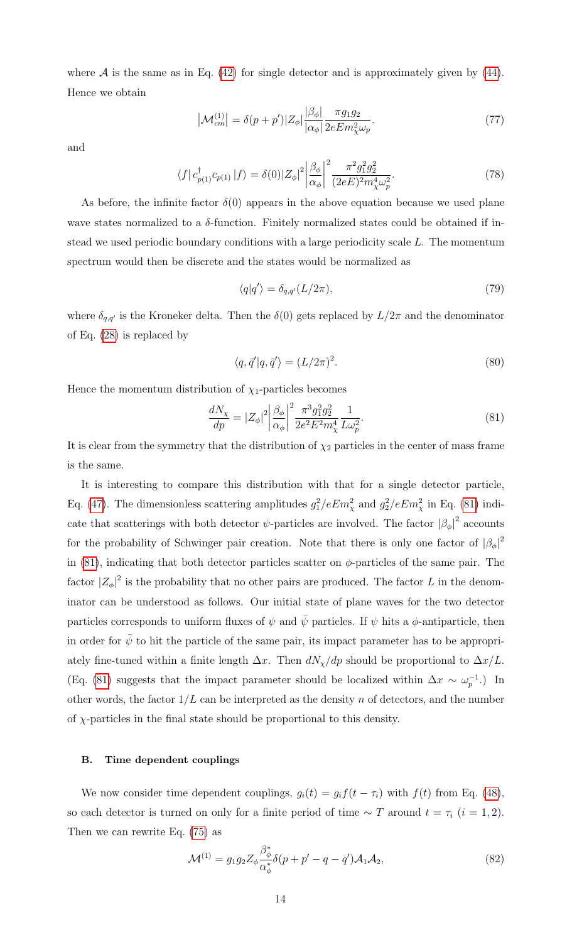where  $A$  is the same as in Eq. [\(42\)](#page-7-1) for single detector and is approximately given by [\(44\)](#page-8-4). Hence we obtain

$$
\left|\mathcal{M}_{cm}^{(1)}\right| = \delta(p+p')|Z_{\phi}| \frac{|\beta_{\phi}|}{|\alpha_{\phi}|} \frac{\pi g_1 g_2}{2eE m_{\chi}^2 \omega_p}.
$$
\n(77)

and

$$
\langle f | c_{p(1)}^{\dagger} c_{p(1)} | f \rangle = \delta(0) |Z_{\phi}|^2 \left| \frac{\beta_{\phi}}{\alpha_{\phi}} \right|^2 \frac{\pi^2 g_1^2 g_2^2}{(2eE)^2 m_{\chi}^4 \omega_p^2}.
$$
 (78)

As before, the infinite factor  $\delta(0)$  appears in the above equation because we used plane wave states normalized to a  $\delta$ -function. Finitely normalized states could be obtained if instead we used periodic boundary conditions with a large periodicity scale L. The momentum spectrum would then be discrete and the states would be normalized as

$$
\langle q|q'\rangle = \delta_{q,q'}(L/2\pi),\tag{79}
$$

where  $\delta_{q,q'}$  is the Kroneker delta. Then the  $\delta(0)$  gets replaced by  $L/2\pi$  and the denominator of Eq. [\(28\)](#page-6-0) is replaced by

<span id="page-13-0"></span>
$$
\langle q, \bar{q}' | q, \bar{q}' \rangle = (L/2\pi)^2. \tag{80}
$$

Hence the momentum distribution of  $\chi_1$ -particles becomes

$$
\frac{dN_{\chi}}{dp} = |Z_{\phi}|^2 \left| \frac{\beta_{\phi}}{\alpha_{\phi}} \right|^2 \frac{\pi^3 g_1^2 g_2^2}{2e^2 E^2 m_{\chi}^4} \frac{1}{L \omega_p^2}.
$$
\n(81)

It is clear from the symmetry that the distribution of  $\chi_2$  particles in the center of mass frame is the same.

It is interesting to compare this distribution with that for a single detector particle, Eq. [\(47\)](#page-8-0). The dimensionless scattering amplitudes  $g_1^2/eEm_\chi^2$  and  $g_2^2/eEm_\chi^2$  in Eq. [\(81\)](#page-13-0) indicate that scatterings with both detector  $\psi$ -particles are involved. The factor  $|\beta_{\phi}|^2$  accounts for the probability of Schwinger pair creation. Note that there is only one factor of  $|\beta_{\phi}|^2$ in [\(81\)](#page-13-0), indicating that both detector particles scatter on  $\phi$ -particles of the same pair. The factor  $|Z_{\phi}|^2$  is the probability that no other pairs are produced. The factor L in the denominator can be understood as follows. Our initial state of plane waves for the two detector particles corresponds to uniform fluxes of  $\psi$  and  $\psi$  particles. If  $\psi$  hits a  $\phi$ -antiparticle, then in order for  $\bar{\psi}$  to hit the particle of the same pair, its impact parameter has to be appropriately fine-tuned within a finite length  $\Delta x$ . Then  $dN_{\chi}/dp$  should be proportional to  $\Delta x/L$ . (Eq. [\(81\)](#page-13-0) suggests that the impact parameter should be localized within  $\Delta x \sim \omega_p^{-1}$ .) In other words, the factor  $1/L$  can be interpreted as the density n of detectors, and the number of  $\chi$ -particles in the final state should be proportional to this density.

# B. Time dependent couplings

We now consider time dependent couplings,  $g_i(t) = g_i f(t - \tau_i)$  with  $f(t)$  from Eq. [\(48\)](#page-8-3), so each detector is turned on only for a finite period of time  $\sim T$  around  $t = \tau_i$  (i = 1, 2). Then we can rewrite Eq. [\(75\)](#page-12-0) as

<span id="page-13-1"></span>
$$
\mathcal{M}^{(1)} = g_1 g_2 Z_\phi \frac{\beta_\phi^*}{\alpha_\phi^*} \delta(p + p' - q - q') \mathcal{A}_1 \mathcal{A}_2,\tag{82}
$$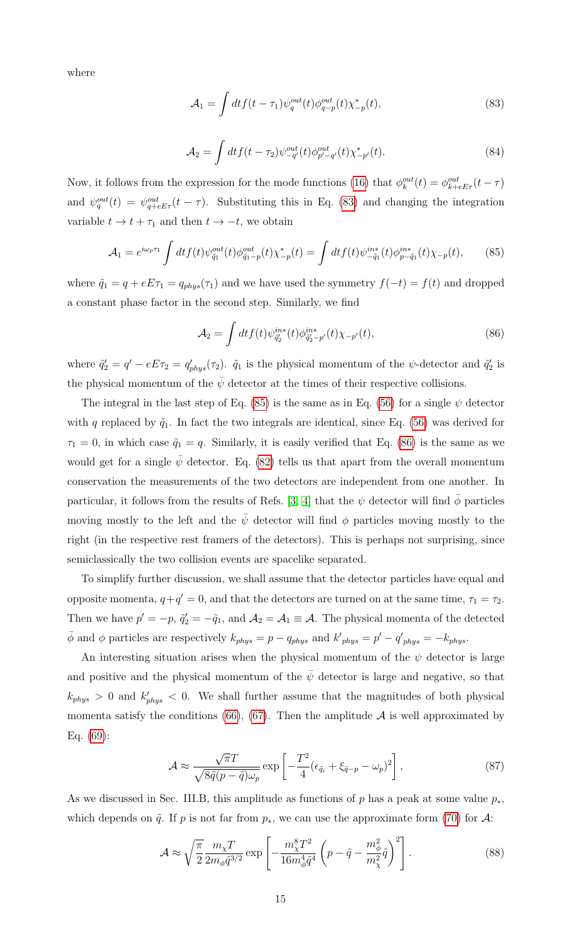where

<span id="page-14-0"></span>
$$
\mathcal{A}_1 = \int dt f(t - \tau_1) \psi_q^{out}(t) \phi_{q-p}^{out}(t) \chi_{-p}^*(t), \qquad (83)
$$

$$
\mathcal{A}_2 = \int dt f(t - \tau_2) \psi_{-q'}^{out}(t) \phi_{p'-q'}^{out}(t) \chi_{-p'}^*(t). \tag{84}
$$

Now, it follows from the expression for the mode functions [\(16\)](#page-4-2) that  $\phi_k^{out}(t) = \phi_{k+eE\tau}^{out}(t-\tau)$ and  $\psi_q^{out}(t) = \psi_{q+eE\tau}^{out}(t-\tau)$ . Substituting this in Eq. [\(83\)](#page-14-0) and changing the integration variable  $t \to t + \tau_1$  and then  $t \to -t$ , we obtain

$$
\mathcal{A}_1 = e^{i\omega_p \tau_1} \int dt f(t) \psi_{\tilde{q}_1}^{out}(t) \phi_{\tilde{q}_1 - p}^{out}(t) \chi_{-p}^*(t) = \int dt f(t) \psi_{-\tilde{q}_1}^{in*}(t) \phi_{p-\tilde{q}_1}^{in*}(t) \chi_{-p}(t), \qquad (85)
$$

where  $\tilde{q}_1 = q + eE\tau_1 = q_{phys}(\tau_1)$  and we have used the symmetry  $f(-t) = f(t)$  and dropped a constant phase factor in the second step. Similarly, we find

<span id="page-14-2"></span><span id="page-14-1"></span>
$$
\mathcal{A}_2 = \int dt f(t) \psi_{\tilde{q}_2'}^{in*}(t) \phi_{\tilde{q}_2'-p'}^{in*}(t) \chi_{-p'}(t), \tag{86}
$$

where  $\tilde{q}'_2 = q' - eE\tau_2 = q'_{phys}(\tau_2)$ .  $\tilde{q}_1$  is the physical momentum of the  $\psi$ -detector and  $\tilde{q}'_2$  is the physical momentum of the  $\bar{\psi}$  detector at the times of their respective collisions.

The integral in the last step of Eq. [\(85\)](#page-14-1) is the same as in Eq. [\(56\)](#page-9-1) for a single  $\psi$  detector with q replaced by  $\tilde{q}_1$ . In fact the two integrals are identical, since Eq. [\(56\)](#page-9-1) was derived for  $\tau_1 = 0$ , in which case  $\tilde{q}_1 = q$ . Similarly, it is easily verified that Eq. [\(86\)](#page-14-2) is the same as we would get for a single  $\bar{\psi}$  detector. Eq. [\(82\)](#page-13-1) tells us that apart from the overall momentum conservation the measurements of the two detectors are independent from one another. In particular, it follows from the results of Refs. [\[3,](#page-18-1) [4\]](#page-18-2) that the  $\psi$  detector will find  $\phi$  particles moving mostly to the left and the  $\bar{\psi}$  detector will find  $\phi$  particles moving mostly to the right (in the respective rest framers of the detectors). This is perhaps not surprising, since semiclassically the two collision events are spacelike separated.

To simplify further discussion, we shall assume that the detector particles have equal and opposite momenta,  $q + q' = 0$ , and that the detectors are turned on at the same time,  $\tau_1 = \tau_2$ . Then we have  $p' = -p$ ,  $\tilde{q}'_2 = -\tilde{q}_1$ , and  $\mathcal{A}_2 = \mathcal{A}_1 \equiv \mathcal{A}$ . The physical momenta of the detected  $\bar{\phi}$  and  $\phi$  particles are respectively  $k_{phys} = p - q_{phys}$  and  $k'_{phys} = p' - q'_{phys} = -k_{phys}$ .

An interesting situation arises when the physical momentum of the  $\psi$  detector is large and positive and the physical momentum of the  $\psi$  detector is large and negative, so that  $k_{phys} > 0$  and  $k'_{phys} < 0$ . We shall further assume that the magnitudes of both physical momenta satisfy the conditions [\(66\)](#page-10-5), [\(67\)](#page-10-6). Then the amplitude  $A$  is well approximated by Eq. [\(69\)](#page-11-0):

$$
\mathcal{A} \approx \frac{\sqrt{\pi}T}{\sqrt{8\tilde{q}(p-\tilde{q})\omega_p}} \exp\left[-\frac{T^2}{4}(\epsilon_{\tilde{q}_i} + \xi_{\tilde{q}-p} - \omega_p)^2\right],\tag{87}
$$

As we discussed in Sec. III.B, this amplitude as functions of p has a peak at some value  $p_*,$ which depends on  $\tilde{q}$ . If p is not far from  $p_*,$  we can use the approximate form [\(70\)](#page-11-1) for  $\mathcal{A}$ :

$$
\mathcal{A} \approx \sqrt{\frac{\pi}{2}} \frac{m_{\chi} T}{2m_{\phi} \tilde{q}^{3/2}} \exp\left[-\frac{m_{\chi}^8 T^2}{16m_{\phi}^4 \tilde{q}^4} \left(p - \tilde{q} - \frac{m_{\phi}^2}{m_{\chi}^2} \tilde{q}\right)^2\right].
$$
 (88)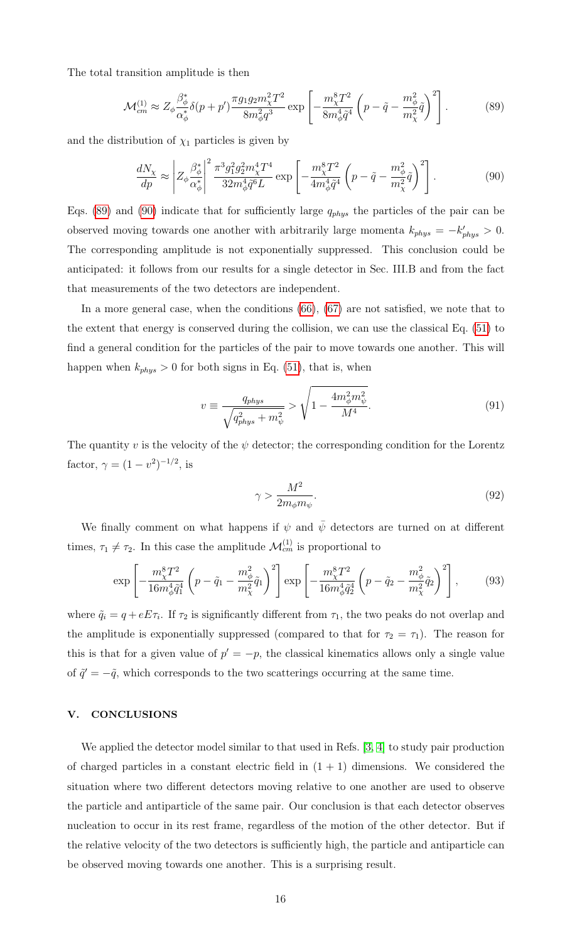The total transition amplitude is then

$$
\mathcal{M}_{cm}^{(1)} \approx Z_{\phi} \frac{\beta_{\phi}^{*}}{\alpha_{\phi}^{*}} \delta(p+p') \frac{\pi g_{1} g_{2} m_{\chi}^{2} T^{2}}{8 m_{\phi}^{2} q^{3}} \exp\left[-\frac{m_{\chi}^{8} T^{2}}{8 m_{\phi}^{4} \tilde{q}^{4}} \left(p-\tilde{q} - \frac{m_{\phi}^{2}}{m_{\chi}^{2}} \tilde{q}\right)^{2}\right].
$$
 (89)

and the distribution of  $\chi_1$  particles is given by

<span id="page-15-1"></span><span id="page-15-0"></span>
$$
\frac{dN_{\chi}}{dp} \approx \left| Z_{\phi} \frac{\beta_{\phi}^{*}}{\alpha_{\phi}^{*}} \right|^{2} \frac{\pi^{3} g_{1}^{2} g_{2}^{2} m_{\chi}^{4} T^{4}}{32 m_{\phi}^{4} \tilde{q}^{6} L} \exp\left[ -\frac{m_{\chi}^{8} T^{2}}{4 m_{\phi}^{4} \tilde{q}^{4}} \left( p - \tilde{q} - \frac{m_{\phi}^{2}}{m_{\chi}^{2}} \tilde{q} \right)^{2} \right]. \tag{90}
$$

Eqs. [\(89\)](#page-15-0) and [\(90\)](#page-15-1) indicate that for sufficiently large  $q_{phys}$  the particles of the pair can be observed moving towards one another with arbitrarily large momenta  $k_{phys} = -k'_{phys} > 0$ . The corresponding amplitude is not exponentially suppressed. This conclusion could be anticipated: it follows from our results for a single detector in Sec. III.B and from the fact that measurements of the two detectors are independent.

In a more general case, when the conditions [\(66\)](#page-10-5), [\(67\)](#page-10-6) are not satisfied, we note that to the extent that energy is conserved during the collision, we can use the classical Eq. [\(51\)](#page-8-2) to find a general condition for the particles of the pair to move towards one another. This will happen when  $k_{phys} > 0$  for both signs in Eq. [\(51\)](#page-8-2), that is, when

$$
v \equiv \frac{q_{phys}}{\sqrt{q_{phys}^2 + m_{\psi}^2}} > \sqrt{1 - \frac{4m_{\phi}^2 m_{\psi}^2}{M^4}}.
$$
\n(91)

The quantity v is the velocity of the  $\psi$  detector; the corresponding condition for the Lorentz factor,  $\gamma = (1 - v^2)^{-1/2}$ , is

$$
\gamma > \frac{M^2}{2m_{\phi}m_{\psi}}.\tag{92}
$$

We finally comment on what happens if  $\psi$  and  $\bar{\psi}$  detectors are turned on at different times,  $\tau_1 \neq \tau_2$ . In this case the amplitude  $\mathcal{M}_{cm}^{(1)}$  is proportional to

$$
\exp\left[-\frac{m_{\chi}^8 T^2}{16m_{\phi}^4 \tilde{q}_1^4} \left(p - \tilde{q}_1 - \frac{m_{\phi}^2}{m_{\chi}^2} \tilde{q}_1\right)^2\right] \exp\left[-\frac{m_{\chi}^8 T^2}{16m_{\phi}^4 \tilde{q}_2^4} \left(p - \tilde{q}_2 - \frac{m_{\phi}^2}{m_{\chi}^2} \tilde{q}_2\right)^2\right],\tag{93}
$$

where  $\tilde{q}_i = q + eE\tau_i$ . If  $\tau_2$  is significantly different from  $\tau_1$ , the two peaks do not overlap and the amplitude is exponentially suppressed (compared to that for  $\tau_2 = \tau_1$ ). The reason for this is that for a given value of  $p' = -p$ , the classical kinematics allows only a single value of  $\tilde{q}' = -\tilde{q}$ , which corresponds to the two scatterings occurring at the same time.

## V. CONCLUSIONS

We applied the detector model similar to that used in Refs. [\[3,](#page-18-1) [4\]](#page-18-2) to study pair production of charged particles in a constant electric field in  $(1 + 1)$  dimensions. We considered the situation where two different detectors moving relative to one another are used to observe the particle and antiparticle of the same pair. Our conclusion is that each detector observes nucleation to occur in its rest frame, regardless of the motion of the other detector. But if the relative velocity of the two detectors is sufficiently high, the particle and antiparticle can be observed moving towards one another. This is a surprising result.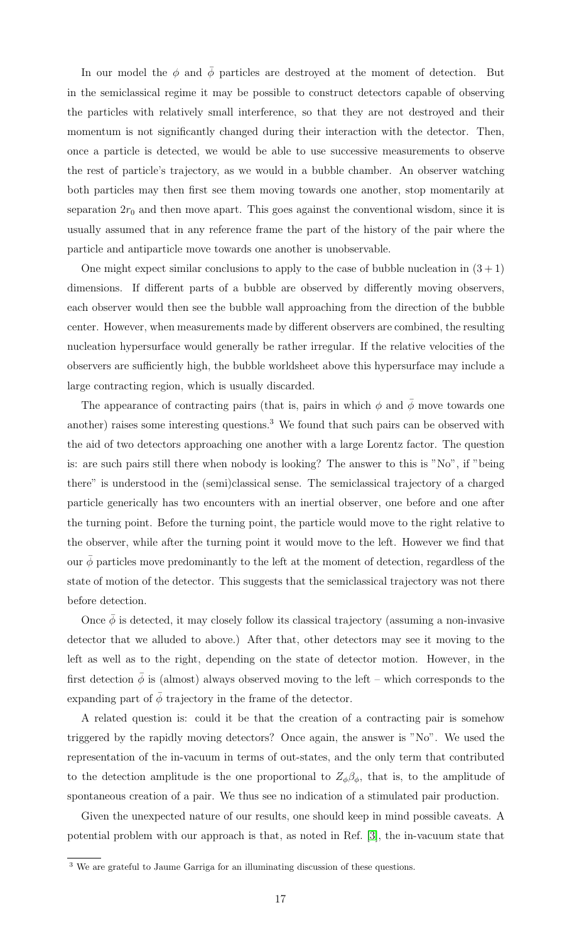In our model the  $\phi$  and  $\bar{\phi}$  particles are destroyed at the moment of detection. But in the semiclassical regime it may be possible to construct detectors capable of observing the particles with relatively small interference, so that they are not destroyed and their momentum is not significantly changed during their interaction with the detector. Then, once a particle is detected, we would be able to use successive measurements to observe the rest of particle's trajectory, as we would in a bubble chamber. An observer watching both particles may then first see them moving towards one another, stop momentarily at separation  $2r_0$  and then move apart. This goes against the conventional wisdom, since it is usually assumed that in any reference frame the part of the history of the pair where the particle and antiparticle move towards one another is unobservable.

One might expect similar conclusions to apply to the case of bubble nucleation in  $(3 + 1)$ dimensions. If different parts of a bubble are observed by differently moving observers, each observer would then see the bubble wall approaching from the direction of the bubble center. However, when measurements made by different observers are combined, the resulting nucleation hypersurface would generally be rather irregular. If the relative velocities of the observers are sufficiently high, the bubble worldsheet above this hypersurface may include a large contracting region, which is usually discarded.

The appearance of contracting pairs (that is, pairs in which  $\phi$  and  $\bar{\phi}$  move towards one another) raises some interesting questions.<sup>3</sup> We found that such pairs can be observed with the aid of two detectors approaching one another with a large Lorentz factor. The question is: are such pairs still there when nobody is looking? The answer to this is "No", if "being there" is understood in the (semi)classical sense. The semiclassical trajectory of a charged particle generically has two encounters with an inertial observer, one before and one after the turning point. Before the turning point, the particle would move to the right relative to the observer, while after the turning point it would move to the left. However we find that our  $\bar{\phi}$  particles move predominantly to the left at the moment of detection, regardless of the state of motion of the detector. This suggests that the semiclassical trajectory was not there before detection.

Once  $\phi$  is detected, it may closely follow its classical trajectory (assuming a non-invasive detector that we alluded to above.) After that, other detectors may see it moving to the left as well as to the right, depending on the state of detector motion. However, in the first detection  $\bar{\phi}$  is (almost) always observed moving to the left – which corresponds to the expanding part of  $\phi$  trajectory in the frame of the detector.

A related question is: could it be that the creation of a contracting pair is somehow triggered by the rapidly moving detectors? Once again, the answer is "No". We used the representation of the in-vacuum in terms of out-states, and the only term that contributed to the detection amplitude is the one proportional to  $Z_{\phi}\beta_{\phi}$ , that is, to the amplitude of spontaneous creation of a pair. We thus see no indication of a stimulated pair production.

Given the unexpected nature of our results, one should keep in mind possible caveats. A potential problem with our approach is that, as noted in Ref. [\[3\]](#page-18-1), the in-vacuum state that

<sup>3</sup> We are grateful to Jaume Garriga for an illuminating discussion of these questions.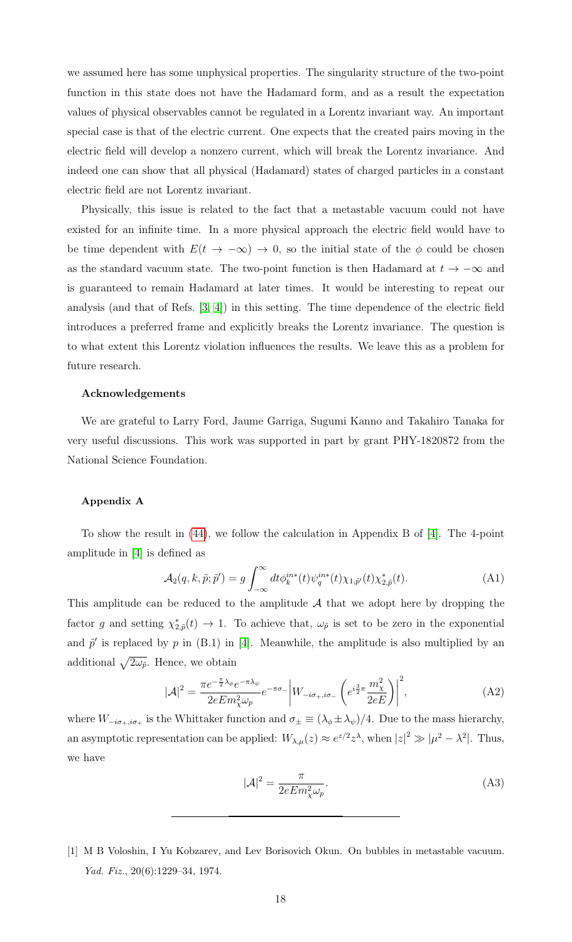we assumed here has some unphysical properties. The singularity structure of the two-point function in this state does not have the Hadamard form, and as a result the expectation values of physical observables cannot be regulated in a Lorentz invariant way. An important special case is that of the electric current. One expects that the created pairs moving in the electric field will develop a nonzero current, which will break the Lorentz invariance. And indeed one can show that all physical (Hadamard) states of charged particles in a constant electric field are not Lorentz invariant.

Physically, this issue is related to the fact that a metastable vacuum could not have existed for an infinite time. In a more physical approach the electric field would have to be time dependent with  $E(t \to -\infty) \to 0$ , so the initial state of the  $\phi$  could be chosen as the standard vacuum state. The two-point function is then Hadamard at  $t \to -\infty$  and is guaranteed to remain Hadamard at later times. It would be interesting to repeat our analysis (and that of Refs. [\[3,](#page-18-1) [4\]](#page-18-2)) in this setting. The time dependence of the electric field introduces a preferred frame and explicitly breaks the Lorentz invariance. The question is to what extent this Lorentz violation influences the results. We leave this as a problem for future research.

## Acknowledgements

We are grateful to Larry Ford, Jaume Garriga, Sugumi Kanno and Takahiro Tanaka for very useful discussions. This work was supported in part by grant PHY-1820872 from the National Science Foundation.

#### Appendix A

To show the result in [\(44\)](#page-8-4), we follow the calculation in Appendix B of [\[4\]](#page-18-2). The 4-point amplitude in [\[4\]](#page-18-2) is defined as

$$
\mathcal{A}_2(q,k,\tilde{p};\tilde{p}') = g \int_{-\infty}^{\infty} dt \phi_k^{in*}(t) \psi_q^{in*}(t) \chi_{1,\tilde{p}'}(t) \chi_{2,\tilde{p}}^*(t). \tag{A1}
$$

This amplitude can be reduced to the amplitude  $A$  that we adopt here by dropping the factor g and setting  $\chi^*_{2,\tilde{p}}(t) \to 1$ . To achieve that,  $\omega_{\tilde{p}}$  is set to be zero in the exponential and  $\tilde{p}'$  is replaced by p in (B.1) in [\[4\]](#page-18-2). Meanwhile, the amplitude is also multiplied by an additional  $\sqrt{2\omega_{\tilde{p}}}$ . Hence, we obtain

$$
|\mathcal{A}|^2 = \frac{\pi e^{-\frac{\pi}{2}\lambda_{\phi}}e^{-\pi\lambda_{\psi}}}{2eEm_{\chi}^2\omega_p}e^{-\pi\sigma_{-}}\left|W_{-i\sigma_{+},i\sigma_{-}}\left(e^{i\frac{3}{2}\pi}\frac{m_{\chi}^2}{2eE}\right)\right|^2,\tag{A2}
$$

where  $W_{-i\sigma_+,i\sigma_+}$  is the Whittaker function and  $\sigma_{\pm} \equiv (\lambda_{\phi} \pm \lambda_{\psi})/4$ . Due to the mass hierarchy, an asymptotic representation can be applied:  $W_{\lambda,\mu}(z) \approx e^{z/2} z^{\lambda}$ , when  $|z|^2 \gg |\mu^2 - \lambda^2|$ . Thus, we have

$$
|\mathcal{A}|^2 = \frac{\pi}{2eEm_\chi^2 \omega_p}.\tag{A3}
$$

<span id="page-17-0"></span>[1] M B Voloshin, I Yu Kobzarev, and Lev Borisovich Okun. On bubbles in metastable vacuum. Yad. Fiz., 20(6):1229–34, 1974.